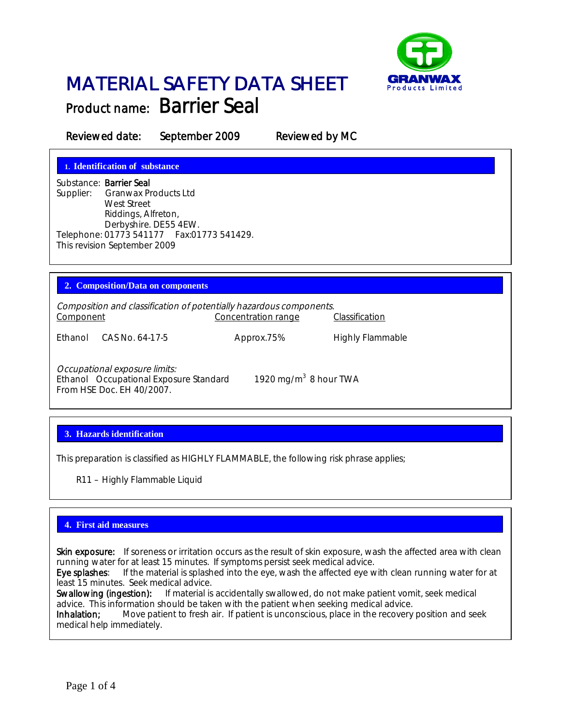

# MATERIAL SAFETY DATA SHEET Product name: Barrier Seal

Reviewed date: September 2009 Reviewed by MC

**1. Identification of substance**

Substance: Barrier Seal Supplier: Granwax Products Ltd West Street Riddings, Alfreton, Derbyshire. DE55 4EW. Telephone: 01773 541177 Fax:01773 541429. This revision September 2009

## **2. Composition/Data on components**

Composition and classification of potentially hazardous components. Component Concentration range Classification

Ethanol CAS No. 64-17-5 Approx.75% Highly Flammable

Occupational exposure limits: Ethanol Occupational Exposure Standard From HSE Doc. EH 40/2007.

1920 mg/m $3$  8 hour TWA

# **3. Hazards identification**

This preparation is classified as HIGHLY FLAMMABLE, the following risk phrase applies;

R11 – Highly Flammable Liquid

# **4. First aid measures**

Skin exposure: If soreness or irritation occurs as the result of skin exposure, wash the affected area with clean running water for at least 15 minutes. If symptoms persist seek medical advice.

Eye splashes: If the material is splashed into the eye, wash the affected eye with clean running water for at least 15 minutes. Seek medical advice.

Swallowing (ingestion): If material is accidentally swallowed, do not make patient vomit, seek medical advice. This information should be taken with the patient when seeking medical advice.<br>Inhalation: Move patient to fresh air. If patient is unconscious, place in the recovery

Move patient to fresh air. If patient is unconscious, place in the recovery position and seek medical help immediately.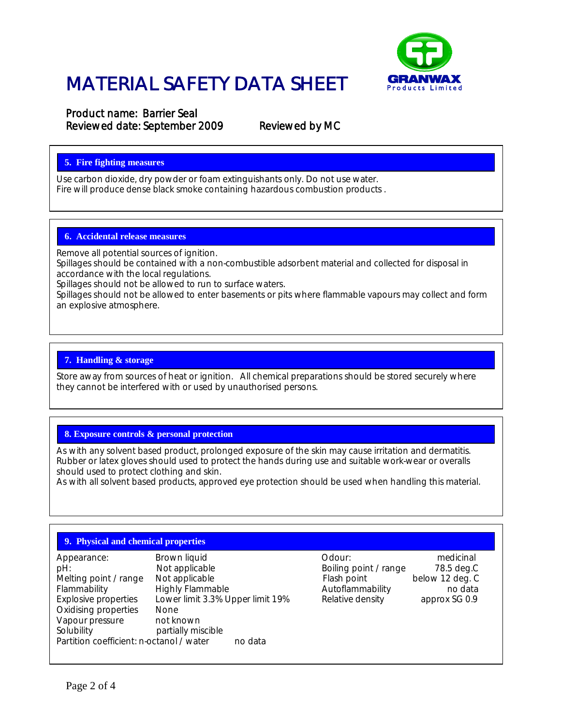

# MATERIAL SAFETY DATA SHEET

Product name: Barrier Seal Reviewed date: September 2009 Reviewed by MC

# **5. Fire fighting measures**

Use carbon dioxide, dry powder or foam extinguishants only. Do not use water. Fire will produce dense black smoke containing hazardous combustion products .

## **6. Accidental release measures**

Remove all potential sources of ignition.

Spillages should be contained with a non-combustible adsorbent material and collected for disposal in accordance with the local regulations.

Spillages should not be allowed to run to surface waters.

Spillages should not be allowed to enter basements or pits where flammable vapours may collect and form an explosive atmosphere.

### **7. Handling & storage**

Store away from sources of heat or ignition. All chemical preparations should be stored securely where they cannot be interfered with or used by unauthorised persons.

## **8. Exposure controls & personal protection**

As with any solvent based product, prolonged exposure of the skin may cause irritation and dermatitis. Rubber or latex gloves should used to protect the hands during use and suitable work-wear or overalls should used to protect clothing and skin.

As with all solvent based products, approved eye protection should be used when handling this material.

## **9. Physical and chemical properties**

| Appearance:                              | Brown liquid                     | Odour:                | medicinal       |
|------------------------------------------|----------------------------------|-----------------------|-----------------|
| pH:                                      | Not applicable                   | Boiling point / range | 78.5 deg.       |
| Melting point / range                    | Not applicable                   | Flash point           | below 12 deg. 0 |
| Flammability                             | <b>Highly Flammable</b>          | Autoflammability      | no data         |
| Explosive properties                     | Lower limit 3.3% Upper limit 19% | Relative density      | approx SG 0.9   |
| Oxidising properties                     | None                             |                       |                 |
| Vapour pressure                          | not known                        |                       |                 |
| Solubility                               | partially miscible               |                       |                 |
| Partition coefficient: n-octanol / water | no data                          |                       |                 |
|                                          |                                  |                       |                 |

below 12 deg. C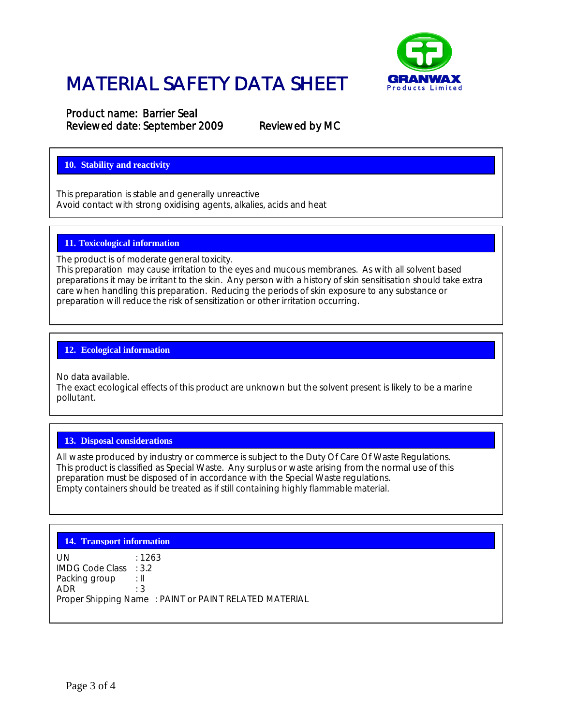

# MATERIAL SAFETY DATA SHEET

Product name: Barrier Seal Reviewed date: September 2009 Reviewed by MC

### **10. Stability and reactivity**

This preparation is stable and generally unreactive Avoid contact with strong oxidising agents, alkalies, acids and heat

# **11. Toxicological information**

The product is of moderate general toxicity.

This preparation may cause irritation to the eyes and mucous membranes. As with all solvent based preparations it may be irritant to the skin. Any person with a history of skin sensitisation should take extra care when handling this preparation. Reducing the periods of skin exposure to any substance or preparation will reduce the risk of sensitization or other irritation occurring.

#### **12. Ecological information**

No data available.

The exact ecological effects of this product are unknown but the solvent present is likely to be a marine pollutant.

#### **13. Disposal considerations**

All waste produced by industry or commerce is subject to the Duty Of Care Of Waste Regulations. This product is classified as Special Waste. Any surplus or waste arising from the normal use of this preparation must be disposed of in accordance with the Special Waste regulations. Empty containers should be treated as if still containing highly flammable material.

#### **14. Transport information**

UN : 1263 IMDG Code Class : 3.2<br>Packing group : Il Packing group : II<br>ADR : 3 ADR Proper Shipping Name : PAINT or PAINT RELATED MATERIAL